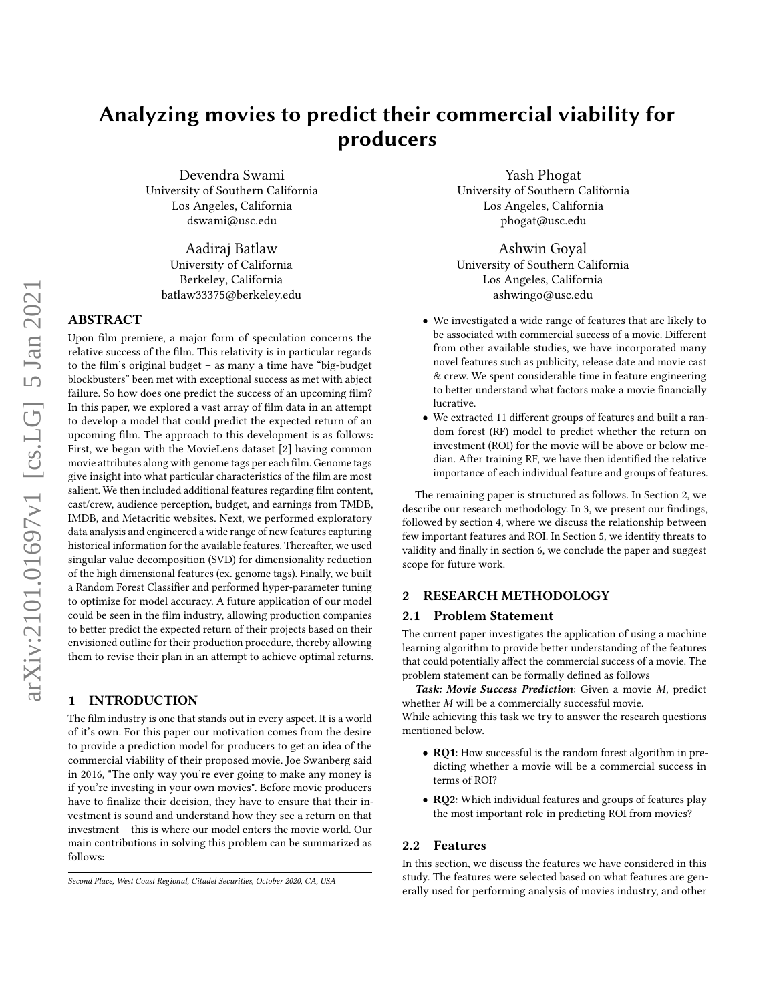# Analyzing movies to predict their commercial viability for producers

Devendra Swami University of Southern California Los Angeles, California dswami@usc.edu

Aadiraj Batlaw University of California Berkeley, California batlaw33375@berkeley.edu

# ABSTRACT

Upon film premiere, a major form of speculation concerns the relative success of the film. This relativity is in particular regards to the film's original budget – as many a time have "big-budget blockbusters" been met with exceptional success as met with abject failure. So how does one predict the success of an upcoming film? In this paper, we explored a vast array of film data in an attempt to develop a model that could predict the expected return of an upcoming film. The approach to this development is as follows: First, we began with the MovieLens dataset [\[2\]](#page-5-0) having common movie attributes along with genome tags per each film. Genome tags give insight into what particular characteristics of the film are most salient. We then included additional features regarding film content, cast/crew, audience perception, budget, and earnings from TMDB, IMDB, and Metacritic websites. Next, we performed exploratory data analysis and engineered a wide range of new features capturing historical information for the available features. Thereafter, we used singular value decomposition (SVD) for dimensionality reduction of the high dimensional features (ex. genome tags). Finally, we built a Random Forest Classifier and performed hyper-parameter tuning to optimize for model accuracy. A future application of our model could be seen in the film industry, allowing production companies to better predict the expected return of their projects based on their envisioned outline for their production procedure, thereby allowing them to revise their plan in an attempt to achieve optimal returns.

#### 1 INTRODUCTION

The film industry is one that stands out in every aspect. It is a world of it's own. For this paper our motivation comes from the desire to provide a prediction model for producers to get an idea of the commercial viability of their proposed movie. Joe Swanberg said in 2016, "The only way you're ever going to make any money is if you're investing in your own movies". Before movie producers have to finalize their decision, they have to ensure that their investment is sound and understand how they see a return on that investment – this is where our model enters the movie world. Our main contributions in solving this problem can be summarized as follows:

Yash Phogat University of Southern California Los Angeles, California phogat@usc.edu

Ashwin Goyal University of Southern California Los Angeles, California ashwingo@usc.edu

- We investigated a wide range of features that are likely to be associated with commercial success of a movie. Different from other available studies, we have incorporated many novel features such as publicity, release date and movie cast & crew. We spent considerable time in feature engineering to better understand what factors make a movie financially lucrative.
- We extracted 11 different groups of features and built a random forest (RF) model to predict whether the return on investment (ROI) for the movie will be above or below median. After training RF, we have then identified the relative importance of each individual feature and groups of features.

The remaining paper is structured as follows. In Section [2,](#page-0-0) we describe our research methodology. In [3,](#page-3-0) we present our findings, followed by section [4,](#page-4-0) where we discuss the relationship between few important features and ROI. In Section [5,](#page-4-1) we identify threats to validity and finally in section [6,](#page-5-1) we conclude the paper and suggest scope for future work.

#### <span id="page-0-0"></span>2 RESEARCH METHODOLOGY

#### 2.1 Problem Statement

The current paper investigates the application of using a machine learning algorithm to provide better understanding of the features that could potentially affect the commercial success of a movie. The problem statement can be formally defined as follows

Task: Movie Success Prediction: Given a movie M, predict whether  $M$  will be a commercially successful movie. While achieving this task we try to answer the research questions

mentioned below.

- RQ1: How successful is the random forest algorithm in predicting whether a movie will be a commercial success in terms of ROI?
- RQ2: Which individual features and groups of features play the most important role in predicting ROI from movies?

#### 2.2 Features

In this section, we discuss the features we have considered in this study. The features were selected based on what features are generally used for performing analysis of movies industry, and other

Second Place, West Coast Regional, Citadel Securities, October 2020, CA, USA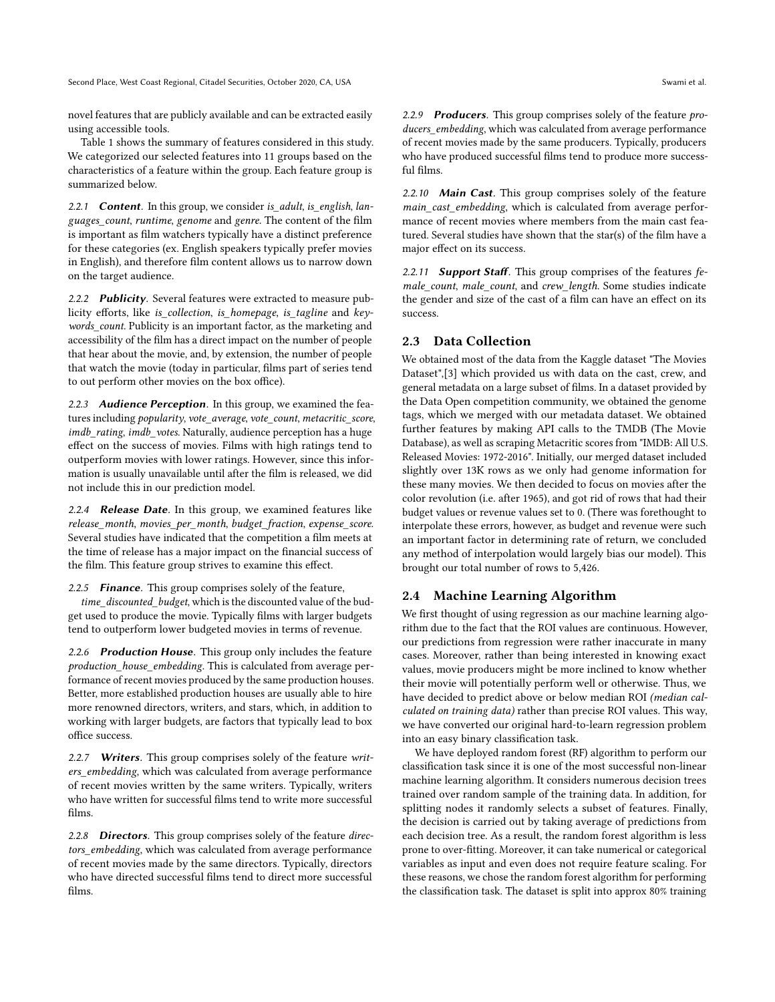Second Place, West Coast Regional, Citadel Securities, October 2020, CA, USA Swami et al. Swami et al.

novel features that are publicly available and can be extracted easily using accessible tools.

Table [1](#page-2-0) shows the summary of features considered in this study. We categorized our selected features into 11 groups based on the characteristics of a feature within the group. Each feature group is summarized below.

2.2.1 **Content**. In this group, we consider is\_adult, is\_english, languages\_count, runtime, genome and genre. The content of the film is important as film watchers typically have a distinct preference for these categories (ex. English speakers typically prefer movies in English), and therefore film content allows us to narrow down on the target audience.

2.2.2 Publicity. Several features were extracted to measure publicity efforts, like is\_collection, is\_homepage, is\_tagline and keywords\_count. Publicity is an important factor, as the marketing and accessibility of the film has a direct impact on the number of people that hear about the movie, and, by extension, the number of people that watch the movie (today in particular, films part of series tend to out perform other movies on the box office).

2.2.3 Audience Perception. In this group, we examined the features including popularity, vote\_average, vote\_count, metacritic\_score, imdb\_rating, imdb\_votes. Naturally, audience perception has a huge effect on the success of movies. Films with high ratings tend to outperform movies with lower ratings. However, since this information is usually unavailable until after the film is released, we did not include this in our prediction model.

2.2.4 Release Date. In this group, we examined features like release month, movies per month, budget fraction, expense score. Several studies have indicated that the competition a film meets at the time of release has a major impact on the financial success of the film. This feature group strives to examine this effect.

2.2.5 **Finance**. This group comprises solely of the feature,

time\_discounted\_budget, which is the discounted value of the budget used to produce the movie. Typically films with larger budgets tend to outperform lower budgeted movies in terms of revenue.

2.2.6 Production House. This group only includes the feature production\_house\_embedding. This is calculated from average performance of recent movies produced by the same production houses. Better, more established production houses are usually able to hire more renowned directors, writers, and stars, which, in addition to working with larger budgets, are factors that typically lead to box office success.

2.2.7 Writers. This group comprises solely of the feature writers embedding, which was calculated from average performance of recent movies written by the same writers. Typically, writers who have written for successful films tend to write more successful films.

2.2.8 Directors. This group comprises solely of the feature directors\_embedding, which was calculated from average performance of recent movies made by the same directors. Typically, directors who have directed successful films tend to direct more successful films.

2.2.9 Producers. This group comprises solely of the feature producers\_embedding, which was calculated from average performance of recent movies made by the same producers. Typically, producers who have produced successful films tend to produce more successful films.

2.2.10 Main Cast. This group comprises solely of the feature main cast embedding, which is calculated from average performance of recent movies where members from the main cast featured. Several studies have shown that the star(s) of the film have a major effect on its success.

2.2.11 Support Staff. This group comprises of the features female\_count, male\_count, and crew\_length. Some studies indicate the gender and size of the cast of a film can have an effect on its success.

# 2.3 Data Collection

We obtained most of the data from the Kaggle dataset "The Movies Dataset",[\[3\]](#page-5-2) which provided us with data on the cast, crew, and general metadata on a large subset of films. In a dataset provided by the Data Open competition community, we obtained the genome tags, which we merged with our metadata dataset. We obtained further features by making API calls to the TMDB (The Movie Database), as well as scraping Metacritic scores from "IMDB: All U.S. Released Movies: 1972-2016". Initially, our merged dataset included slightly over 13K rows as we only had genome information for these many movies. We then decided to focus on movies after the color revolution (i.e. after 1965), and got rid of rows that had their budget values or revenue values set to 0. (There was forethought to interpolate these errors, however, as budget and revenue were such an important factor in determining rate of return, we concluded any method of interpolation would largely bias our model). This brought our total number of rows to 5,426.

#### 2.4 Machine Learning Algorithm

We first thought of using regression as our machine learning algorithm due to the fact that the ROI values are continuous. However, our predictions from regression were rather inaccurate in many cases. Moreover, rather than being interested in knowing exact values, movie producers might be more inclined to know whether their movie will potentially perform well or otherwise. Thus, we have decided to predict above or below median ROI (median calculated on training data) rather than precise ROI values. This way, we have converted our original hard-to-learn regression problem into an easy binary classification task.

We have deployed random forest (RF) algorithm to perform our classification task since it is one of the most successful non-linear machine learning algorithm. It considers numerous decision trees trained over random sample of the training data. In addition, for splitting nodes it randomly selects a subset of features. Finally, the decision is carried out by taking average of predictions from each decision tree. As a result, the random forest algorithm is less prone to over-fitting. Moreover, it can take numerical or categorical variables as input and even does not require feature scaling. For these reasons, we chose the random forest algorithm for performing the classification task. The dataset is split into approx 80% training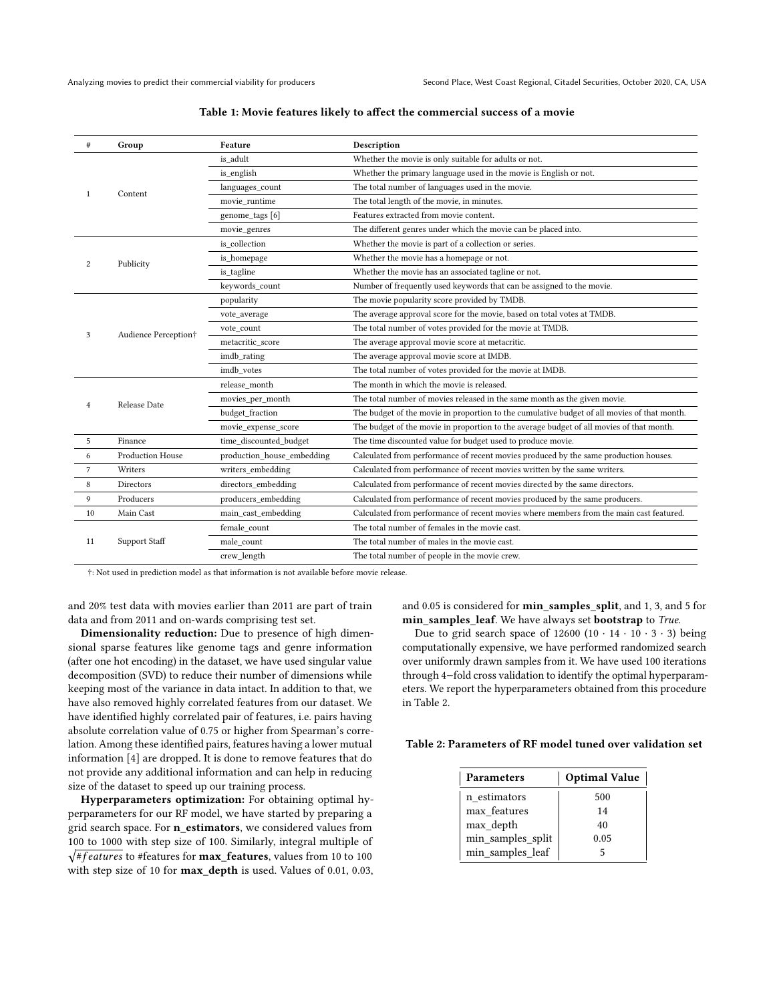<span id="page-2-0"></span>

| #              | Group                   | Feature                    | Description                                                                                 |
|----------------|-------------------------|----------------------------|---------------------------------------------------------------------------------------------|
| 1              | Content                 | is adult                   | Whether the movie is only suitable for adults or not.                                       |
|                |                         | is english                 | Whether the primary language used in the movie is English or not.                           |
|                |                         | languages_count            | The total number of languages used in the movie.                                            |
|                |                         | movie runtime              | The total length of the movie, in minutes.                                                  |
|                |                         | genome_tags [6]            | Features extracted from movie content.                                                      |
|                |                         | movie_genres               | The different genres under which the movie can be placed into.                              |
|                | Publicity               | is collection              | Whether the movie is part of a collection or series.                                        |
| 2              |                         | is homepage                | Whether the movie has a homepage or not.                                                    |
|                |                         | is tagline                 | Whether the movie has an associated tagline or not.                                         |
|                |                         | keywords count             | Number of frequently used keywords that can be assigned to the movie.                       |
|                | Audience Perception†    | popularity                 | The movie popularity score provided by TMDB.                                                |
|                |                         | vote average               | The average approval score for the movie, based on total votes at TMDB.                     |
| 3              |                         | vote count                 | The total number of votes provided for the movie at TMDB.                                   |
|                |                         | metacritic score           | The average approval movie score at metacritic.                                             |
|                |                         | imdb rating                | The average approval movie score at IMDB.                                                   |
|                |                         | imdb votes                 | The total number of votes provided for the movie at IMDB.                                   |
|                | Release Date            | release month              | The month in which the movie is released.                                                   |
| $\overline{4}$ |                         | movies per month           | The total number of movies released in the same month as the given movie.                   |
|                |                         | budget fraction            | The budget of the movie in proportion to the cumulative budget of all movies of that month. |
|                |                         | movie_expense_score        | The budget of the movie in proportion to the average budget of all movies of that month.    |
| 5              | Finance                 | time_discounted_budget     | The time discounted value for budget used to produce movie.                                 |
| 6              | <b>Production House</b> | production house embedding | Calculated from performance of recent movies produced by the same production houses.        |
| 7              | Writers                 | writers_embedding          | Calculated from performance of recent movies written by the same writers.                   |
| $\,$ 8 $\,$    | Directors               | directors embedding        | Calculated from performance of recent movies directed by the same directors.                |
| 9              | Producers               | producers embedding        | Calculated from performance of recent movies produced by the same producers.                |
| 10             | Main Cast               | main_cast_embedding        | Calculated from performance of recent movies where members from the main cast featured.     |
|                | Support Staff           | female count               | The total number of females in the movie cast.                                              |
| 11             |                         | male count                 | The total number of males in the movie cast.                                                |
|                |                         | crew length                | The total number of people in the movie crew.                                               |

#### Table 1: Movie features likely to affect the commercial success of a movie

†: Not used in prediction model as that information is not available before movie release.

and 20% test data with movies earlier than 2011 are part of train data and from 2011 and on-wards comprising test set.

Dimensionality reduction: Due to presence of high dimensional sparse features like genome tags and genre information (after one hot encoding) in the dataset, we have used singular value decomposition (SVD) to reduce their number of dimensions while keeping most of the variance in data intact. In addition to that, we have also removed highly correlated features from our dataset. We have identified highly correlated pair of features, i.e. pairs having absolute correlation value of 0.75 or higher from Spearman's correlation. Among these identified pairs, features having a lower mutual information [\[4\]](#page-5-4) are dropped. It is done to remove features that do not provide any additional information and can help in reducing size of the dataset to speed up our training process.

Hyperparameters optimization: For obtaining optimal hyperparameters for our RF model, we have started by preparing a grid search space. For n\_estimators, we considered values from 100 to 1000 with step size of 100. Similarly, integral multiple of √#features to #features for max\_features, values from 10 to 100 with step size of 10 for max\_depth is used. Values of 0.01, 0.03, and 0.05 is considered for min\_samples\_split, and 1, 3, and 5 for min\_samples\_leaf. We have always set bootstrap to True.

Due to grid search space of  $12600 (10 \cdot 14 \cdot 10 \cdot 3 \cdot 3)$  being computationally expensive, we have performed randomized search over uniformly drawn samples from it. We have used 100 iterations through 4−fold cross validation to identify the optimal hyperparameters. We report the hyperparameters obtained from this procedure in Table [2.](#page-2-1)

#### <span id="page-2-1"></span>Table 2: Parameters of RF model tuned over validation set

| <b>Parameters</b> | <b>Optimal Value</b> |
|-------------------|----------------------|
| n estimators      | 500                  |
| max features      | 14                   |
| max_depth         | 40                   |
| min_samples_split | 0.05                 |
| min_samples_leaf  |                      |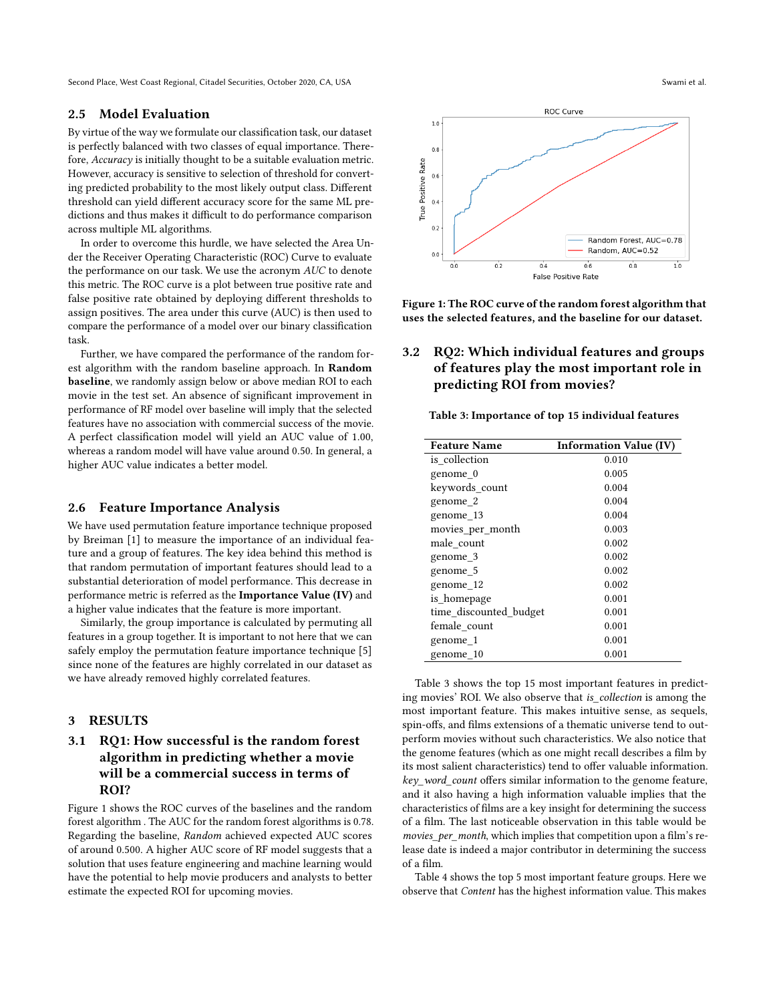Second Place, West Coast Regional, Citadel Securities, October 2020, CA, USA Swami et al. Swami et al.

#### 2.5 Model Evaluation

By virtue of the way we formulate our classification task, our dataset is perfectly balanced with two classes of equal importance. Therefore, Accuracy is initially thought to be a suitable evaluation metric. However, accuracy is sensitive to selection of threshold for converting predicted probability to the most likely output class. Different threshold can yield different accuracy score for the same ML predictions and thus makes it difficult to do performance comparison across multiple ML algorithms.

In order to overcome this hurdle, we have selected the Area Under the Receiver Operating Characteristic (ROC) Curve to evaluate the performance on our task. We use the acronym AUC to denote this metric. The ROC curve is a plot between true positive rate and false positive rate obtained by deploying different thresholds to assign positives. The area under this curve (AUC) is then used to compare the performance of a model over our binary classification task.

Further, we have compared the performance of the random forest algorithm with the random baseline approach. In Random baseline, we randomly assign below or above median ROI to each movie in the test set. An absence of significant improvement in performance of RF model over baseline will imply that the selected features have no association with commercial success of the movie. A perfect classification model will yield an AUC value of 1.00, whereas a random model will have value around 0.50. In general, a higher AUC value indicates a better model.

# 2.6 Feature Importance Analysis

We have used permutation feature importance technique proposed by Breiman [\[1\]](#page-5-5) to measure the importance of an individual feature and a group of features. The key idea behind this method is that random permutation of important features should lead to a substantial deterioration of model performance. This decrease in performance metric is referred as the Importance Value (IV) and a higher value indicates that the feature is more important.

Similarly, the group importance is calculated by permuting all features in a group together. It is important to not here that we can safely employ the permutation feature importance technique [\[5\]](#page-5-6) since none of the features are highly correlated in our dataset as we have already removed highly correlated features.

## <span id="page-3-0"></span>3 RESULTS

# 3.1 RQ1: How successful is the random forest algorithm in predicting whether a movie will be a commercial success in terms of ROI?

Figure [1](#page-3-1) shows the ROC curves of the baselines and the random forest algorithm . The AUC for the random forest algorithms is 0.78. Regarding the baseline, Random achieved expected AUC scores of around 0.500. A higher AUC score of RF model suggests that a solution that uses feature engineering and machine learning would have the potential to help movie producers and analysts to better estimate the expected ROI for upcoming movies.

<span id="page-3-1"></span>

Figure 1: The ROC curve of the random forest algorithm that uses the selected features, and the baseline for our dataset.

# 3.2 RQ2: Which individual features and groups of features play the most important role in predicting ROI from movies?

<span id="page-3-2"></span>Table 3: Importance of top 15 individual features

| <b>Feature Name</b>    | <b>Information Value (IV)</b> |
|------------------------|-------------------------------|
| is collection          | 0.010                         |
| genome 0               | 0.005                         |
| keywords_count         | 0.004                         |
| genome 2               | 0.004                         |
| genome 13              | 0.004                         |
| movies_per_month       | 0.003                         |
| male count             | 0.002                         |
| genome 3               | 0.002                         |
| genome 5               | 0.002                         |
| genome 12              | 0.002                         |
| is homepage            | 0.001                         |
| time discounted budget | 0.001                         |
| female count           | 0.001                         |
| genome_1               | 0.001                         |
| genome 10              | 0.001                         |

Table [3](#page-3-2) shows the top 15 most important features in predicting movies' ROI. We also observe that is\_collection is among the most important feature. This makes intuitive sense, as sequels, spin-offs, and films extensions of a thematic universe tend to outperform movies without such characteristics. We also notice that the genome features (which as one might recall describes a film by its most salient characteristics) tend to offer valuable information. key\_word\_count offers similar information to the genome feature, and it also having a high information valuable implies that the characteristics of films are a key insight for determining the success of a film. The last noticeable observation in this table would be movies\_per\_month, which implies that competition upon a film's release date is indeed a major contributor in determining the success of a film.

Table [4](#page-4-2) shows the top 5 most important feature groups. Here we observe that Content has the highest information value. This makes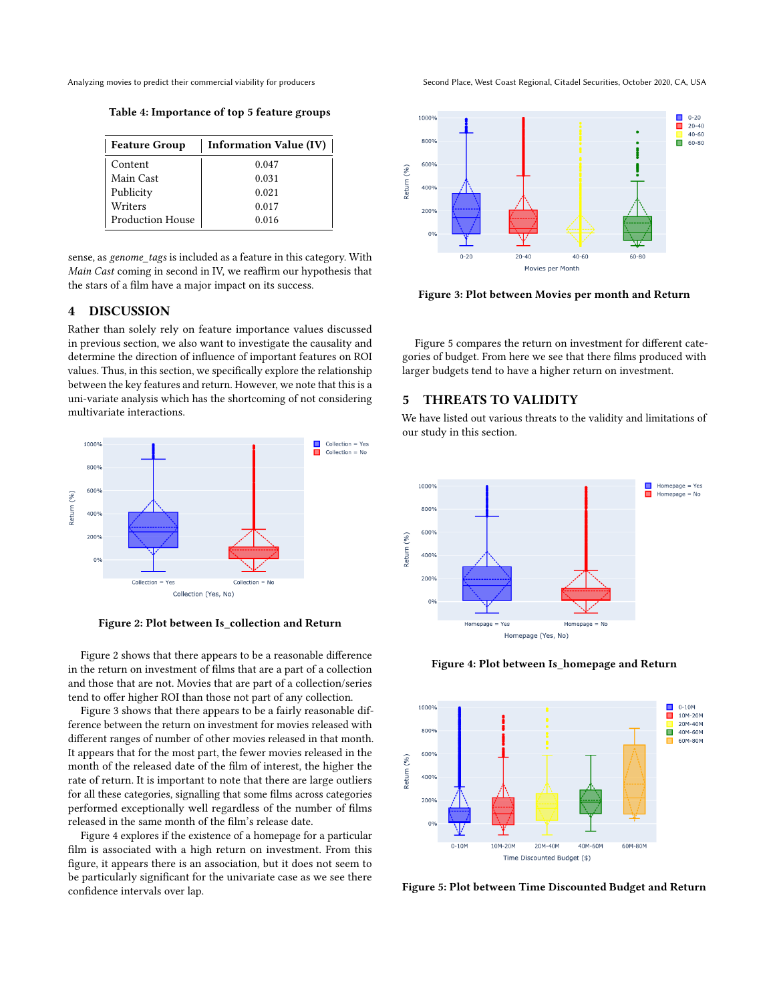<span id="page-4-2"></span>

Table 4: Importance of top 5 feature groups

| <b>Feature Group</b>    | <b>Information Value (IV)</b> |
|-------------------------|-------------------------------|
| Content                 | 0.047                         |
| Main Cast               | 0.031                         |
| Publicity               | 0.021                         |
| Writers                 | 0.017                         |
| <b>Production House</b> | 0.016                         |

sense, as genome\_tags is included as a feature in this category. With Main Cast coming in second in IV, we reaffirm our hypothesis that the stars of a film have a major impact on its success.

# <span id="page-4-0"></span>4 DISCUSSION

Rather than solely rely on feature importance values discussed in previous section, we also want to investigate the causality and determine the direction of influence of important features on ROI values. Thus, in this section, we specifically explore the relationship between the key features and return. However, we note that this is a uni-variate analysis which has the shortcoming of not considering multivariate interactions.

<span id="page-4-3"></span>

Figure 2: Plot between Is\_collection and Return

Figure [2](#page-4-3) shows that there appears to be a reasonable difference in the return on investment of films that are a part of a collection and those that are not. Movies that are part of a collection/series tend to offer higher ROI than those not part of any collection.

Figure [3](#page-4-4) shows that there appears to be a fairly reasonable difference between the return on investment for movies released with different ranges of number of other movies released in that month. It appears that for the most part, the fewer movies released in the month of the released date of the film of interest, the higher the rate of return. It is important to note that there are large outliers for all these categories, signalling that some films across categories performed exceptionally well regardless of the number of films released in the same month of the film's release date.

Figure [4](#page-4-5) explores if the existence of a homepage for a particular film is associated with a high return on investment. From this figure, it appears there is an association, but it does not seem to be particularly significant for the univariate case as we see there confidence intervals over lap.

Analyzing movies to predict their commercial viability for producers Second Place, West Coast Regional, Citadel Securities, October 2020, CA, USA

<span id="page-4-4"></span>

Figure 3: Plot between Movies per month and Return

Figure [5](#page-4-6) compares the return on investment for different categories of budget. From here we see that there films produced with larger budgets tend to have a higher return on investment.

### <span id="page-4-1"></span>5 THREATS TO VALIDITY

We have listed out various threats to the validity and limitations of our study in this section.

<span id="page-4-5"></span>

Figure 4: Plot between Is\_homepage and Return

<span id="page-4-6"></span>

Figure 5: Plot between Time Discounted Budget and Return